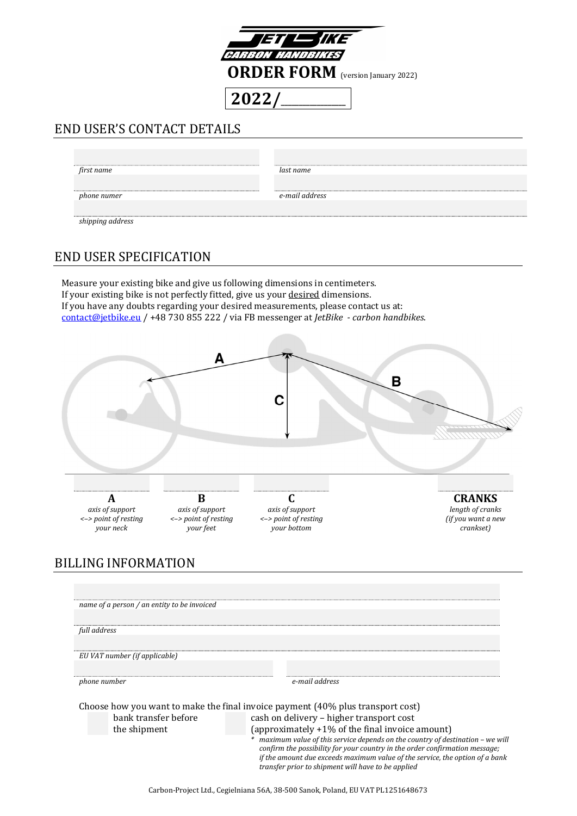

# END USER'S CONTACT DETAILS

| first name       | last name      |  |
|------------------|----------------|--|
|                  |                |  |
| phone numer      | e-mail address |  |
|                  |                |  |
| shipping address |                |  |

# END USER SPECIFICATION

Measure your existing bike and give us following dimensions in centimeters. If your existing bike is not perfectly fitted, give us your desired dimensions. If you have any doubts regarding your desired measurements, please contact us at: contact@jetbike.eu / +48 730 855 222 / via FB messenger at JetBike - carbon handbikes.



# BILLING INFORMATION

| name of a person / an entity to be invoiced |                                                                                                                                                                                                                                                                                                    |  |  |
|---------------------------------------------|----------------------------------------------------------------------------------------------------------------------------------------------------------------------------------------------------------------------------------------------------------------------------------------------------|--|--|
| full address                                |                                                                                                                                                                                                                                                                                                    |  |  |
| EU VAT number (if applicable)               |                                                                                                                                                                                                                                                                                                    |  |  |
| phone number                                | e-mail address                                                                                                                                                                                                                                                                                     |  |  |
|                                             | Choose how you want to make the final invoice payment (40% plus transport cost)                                                                                                                                                                                                                    |  |  |
| bank transfer before                        | cash on delivery - higher transport cost                                                                                                                                                                                                                                                           |  |  |
| the shipment                                | (approximately +1% of the final invoice amount)                                                                                                                                                                                                                                                    |  |  |
|                                             | maximum value of this service depends on the country of destination - we will<br>confirm the possibility for your country in the order confirmation message;<br>if the amount due exceeds maximum value of the service, the option of a bank<br>transfer prior to shipment will have to be applied |  |  |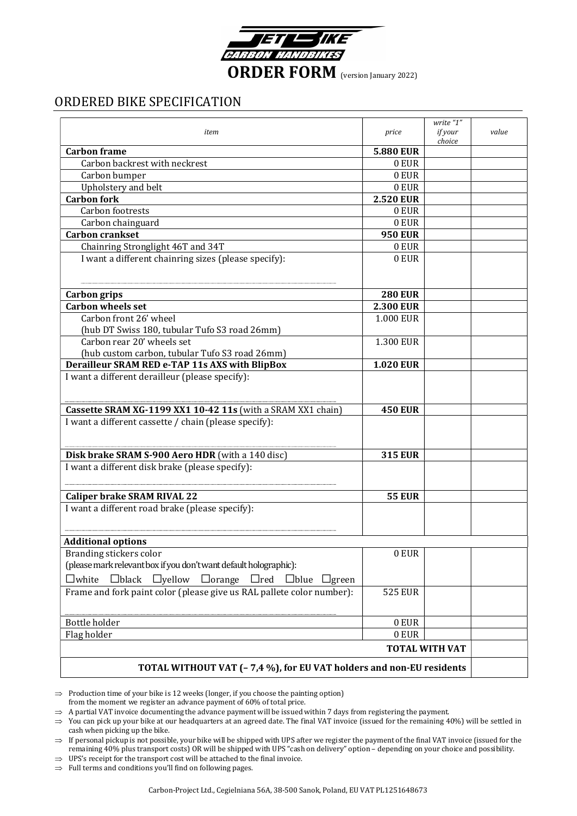

## ORDERED BIKE SPECIFICATION

| item                                                                                        | price            | write''1''<br>if your<br>choice | value |  |  |
|---------------------------------------------------------------------------------------------|------------------|---------------------------------|-------|--|--|
| <b>Carbon frame</b>                                                                         | <b>5.880 EUR</b> |                                 |       |  |  |
| Carbon backrest with neckrest                                                               | 0 EUR            |                                 |       |  |  |
| Carbon bumper                                                                               | 0 EUR            |                                 |       |  |  |
| Upholstery and belt                                                                         | 0 EUR            |                                 |       |  |  |
| <b>Carbon fork</b>                                                                          | <b>2.520 EUR</b> |                                 |       |  |  |
| Carbon footrests                                                                            | 0 EUR            |                                 |       |  |  |
| Carbon chainguard                                                                           | 0 EUR            |                                 |       |  |  |
| <b>Carbon crankset</b>                                                                      | <b>950 EUR</b>   |                                 |       |  |  |
| Chainring Stronglight 46T and 34T                                                           | 0 EUR            |                                 |       |  |  |
| I want a different chainring sizes (please specify):                                        | 0 EUR            |                                 |       |  |  |
| <b>Carbon</b> grips                                                                         | <b>280 EUR</b>   |                                 |       |  |  |
| <b>Carbon wheels set</b>                                                                    | <b>2.300 EUR</b> |                                 |       |  |  |
| Carbon front 26' wheel                                                                      | 1.000 EUR        |                                 |       |  |  |
| (hub DT Swiss 180, tubular Tufo S3 road 26mm)                                               |                  |                                 |       |  |  |
| Carbon rear 20' wheels set                                                                  | 1.300 EUR        |                                 |       |  |  |
| (hub custom carbon, tubular Tufo S3 road 26mm)                                              |                  |                                 |       |  |  |
| Derailleur SRAM RED e-TAP 11s AXS with BlipBox                                              | <b>1.020 EUR</b> |                                 |       |  |  |
| I want a different derailleur (please specify):                                             |                  |                                 |       |  |  |
|                                                                                             |                  |                                 |       |  |  |
| Cassette SRAM XG-1199 XX1 10-42 11s (with a SRAM XX1 chain)                                 | <b>450 EUR</b>   |                                 |       |  |  |
| I want a different cassette / chain (please specify):                                       |                  |                                 |       |  |  |
| Disk brake SRAM S-900 Aero HDR (with a 140 disc)                                            | <b>315 EUR</b>   |                                 |       |  |  |
| I want a different disk brake (please specify):                                             |                  |                                 |       |  |  |
| <b>Caliper brake SRAM RIVAL 22</b>                                                          | <b>55 EUR</b>    |                                 |       |  |  |
| I want a different road brake (please specify):                                             |                  |                                 |       |  |  |
|                                                                                             |                  |                                 |       |  |  |
| <b>Additional options</b>                                                                   |                  |                                 |       |  |  |
| Branding stickers color                                                                     | 0 EUR            |                                 |       |  |  |
| (please mark relevant box if you don't want default holographic):                           |                  |                                 |       |  |  |
| $\Box$ orange $\Box$ red $\Box$ blue<br>$\square$ white<br>$\Box$ black<br>$\square$ yellow |                  |                                 |       |  |  |
| $\Box$ green<br>Frame and fork paint color (please give us RAL pallete color number):       | <b>525 EUR</b>   |                                 |       |  |  |
|                                                                                             |                  |                                 |       |  |  |
| Bottle holder                                                                               | 0 EUR            |                                 |       |  |  |
| Flag holder                                                                                 | 0 EUR            |                                 |       |  |  |
|                                                                                             |                  | <b>TOTAL WITH VAT</b>           |       |  |  |
|                                                                                             |                  |                                 |       |  |  |
| TOTAL WITHOUT VAT (-7,4 %), for EU VAT holders and non-EU residents                         |                  |                                 |       |  |  |

 $\Rightarrow$  Production time of your bike is 12 weeks (longer, if you choose the painting option)

from the moment we register an advance payment of 60% of total price.

 $\Rightarrow$  A partial VAT invoice documenting the advance payment will be issued within 7 days from registering the payment.

 $\Rightarrow$  You can pick up your bike at our headquarters at an agreed date. The final VAT invoice (issued for the remaining 40%) will be settled in cash when picking up the bike.

 $\Rightarrow$  If personal pickup is not possible, your bike will be shipped with UPS after we register the payment of the final VAT invoice (issued for the remaining 40% plus transport costs) OR will be shipped with UPS "cash on delivery" option – depending on your choice and possibility.

 $\Rightarrow$  UPS's receipt for the transport cost will be attached to the final invoice.

 $\Rightarrow$  Full terms and conditions you'll find on following pages.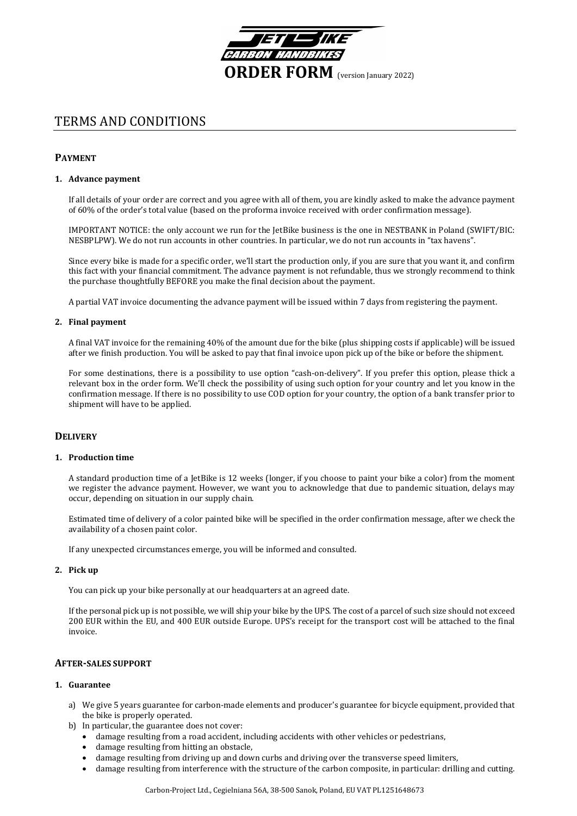

## TERMS AND CONDITIONS

### PAYMENT

#### 1. Advance payment

If all details of your order are correct and you agree with all of them, you are kindly asked to make the advance payment of 60% of the order's total value (based on the proforma invoice received with order confirmation message).

IMPORTANT NOTICE: the only account we run for the JetBike business is the one in NESTBANK in Poland (SWIFT/BIC: NESBPLPW). We do not run accounts in other countries. In particular, we do not run accounts in "tax havens".

Since every bike is made for a specific order, we'll start the production only, if you are sure that you want it, and confirm this fact with your financial commitment. The advance payment is not refundable, thus we strongly recommend to think the purchase thoughtfully BEFORE you make the final decision about the payment.

A partial VAT invoice documenting the advance payment will be issued within 7 days from registering the payment.

#### 2. Final payment

A final VAT invoice for the remaining 40% of the amount due for the bike (plus shipping costs if applicable) will be issued after we finish production. You will be asked to pay that final invoice upon pick up of the bike or before the shipment.

For some destinations, there is a possibility to use option "cash-on-delivery". If you prefer this option, please thick a relevant box in the order form. We'll check the possibility of using such option for your country and let you know in the confirmation message. If there is no possibility to use COD option for your country, the option of a bank transfer prior to shipment will have to be applied.

#### **DELIVERY**

#### 1. Production time

A standard production time of a JetBike is 12 weeks (longer, if you choose to paint your bike a color) from the moment we register the advance payment. However, we want you to acknowledge that due to pandemic situation, delays may occur, depending on situation in our supply chain.

Estimated time of delivery of a color painted bike will be specified in the order confirmation message, after we check the availability of a chosen paint color.

If any unexpected circumstances emerge, you will be informed and consulted.

#### 2. Pick up

You can pick up your bike personally at our headquarters at an agreed date.

If the personal pick up is not possible, we will ship your bike by the UPS. The cost of a parcel of such size should not exceed 200 EUR within the EU, and 400 EUR outside Europe. UPS's receipt for the transport cost will be attached to the final invoice.

### AFTER-SALES SUPPORT

### 1. Guarantee

- a) We give 5 years guarantee for carbon-made elements and producer's guarantee for bicycle equipment, provided that the bike is properly operated.
- b) In particular, the guarantee does not cover:
	- damage resulting from a road accident, including accidents with other vehicles or pedestrians,
	- damage resulting from hitting an obstacle,
	- damage resulting from driving up and down curbs and driving over the transverse speed limiters,
	- damage resulting from interference with the structure of the carbon composite, in particular: drilling and cutting.